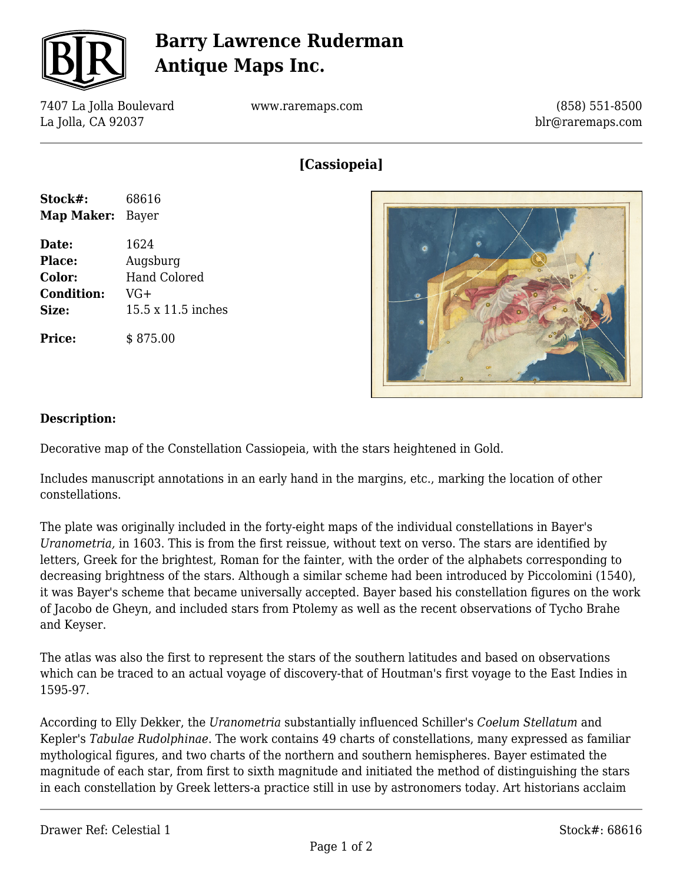

# **Barry Lawrence Ruderman Antique Maps Inc.**

7407 La Jolla Boulevard La Jolla, CA 92037

www.raremaps.com

(858) 551-8500 blr@raremaps.com

### **[Cassiopeia]**

| Stock#:           | 68616              |
|-------------------|--------------------|
| Map Maker:        | Bayer              |
| Date:             | 1624               |
| Place:            | Augsburg           |
| Color:            | Hand Colored       |
| <b>Condition:</b> | VG+                |
| Size:             | 15.5 x 11.5 inches |
| <b>Price:</b>     | \$875.00           |



#### **Description:**

Decorative map of the Constellation Cassiopeia, with the stars heightened in Gold.

Includes manuscript annotations in an early hand in the margins, etc., marking the location of other constellations.

The plate was originally included in the forty-eight maps of the individual constellations in Bayer's *Uranometria,* in 1603. This is from the first reissue, without text on verso. The stars are identified by letters, Greek for the brightest, Roman for the fainter, with the order of the alphabets corresponding to decreasing brightness of the stars. Although a similar scheme had been introduced by Piccolomini (1540), it was Bayer's scheme that became universally accepted. Bayer based his constellation figures on the work of Jacobo de Gheyn, and included stars from Ptolemy as well as the recent observations of Tycho Brahe and Keyser.

The atlas was also the first to represent the stars of the southern latitudes and based on observations which can be traced to an actual voyage of discovery-that of Houtman's first voyage to the East Indies in 1595-97.

According to Elly Dekker, the *Uranometria* substantially influenced Schiller's *Coelum Stellatum* and Kepler's *Tabulae Rudolphinae*. The work contains 49 charts of constellations, many expressed as familiar mythological figures, and two charts of the northern and southern hemispheres. Bayer estimated the magnitude of each star, from first to sixth magnitude and initiated the method of distinguishing the stars in each constellation by Greek letters-a practice still in use by astronomers today. Art historians acclaim